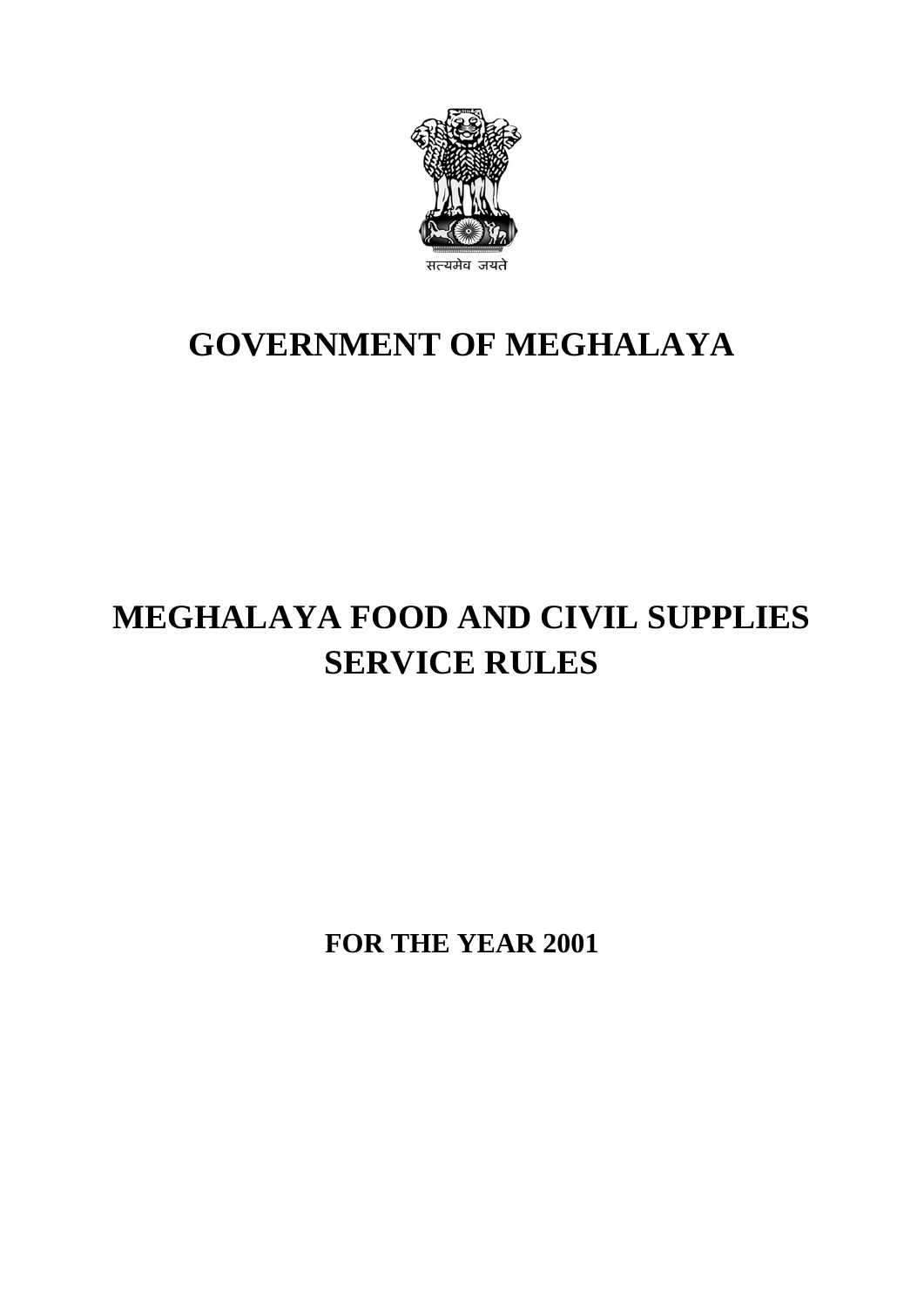

## **GOVERNMENT OF MEGHALAYA**

# **MEGHALAYA FOOD AND CIVIL SUPPLIES SERVICE RULES**

**FOR THE YEAR 2001**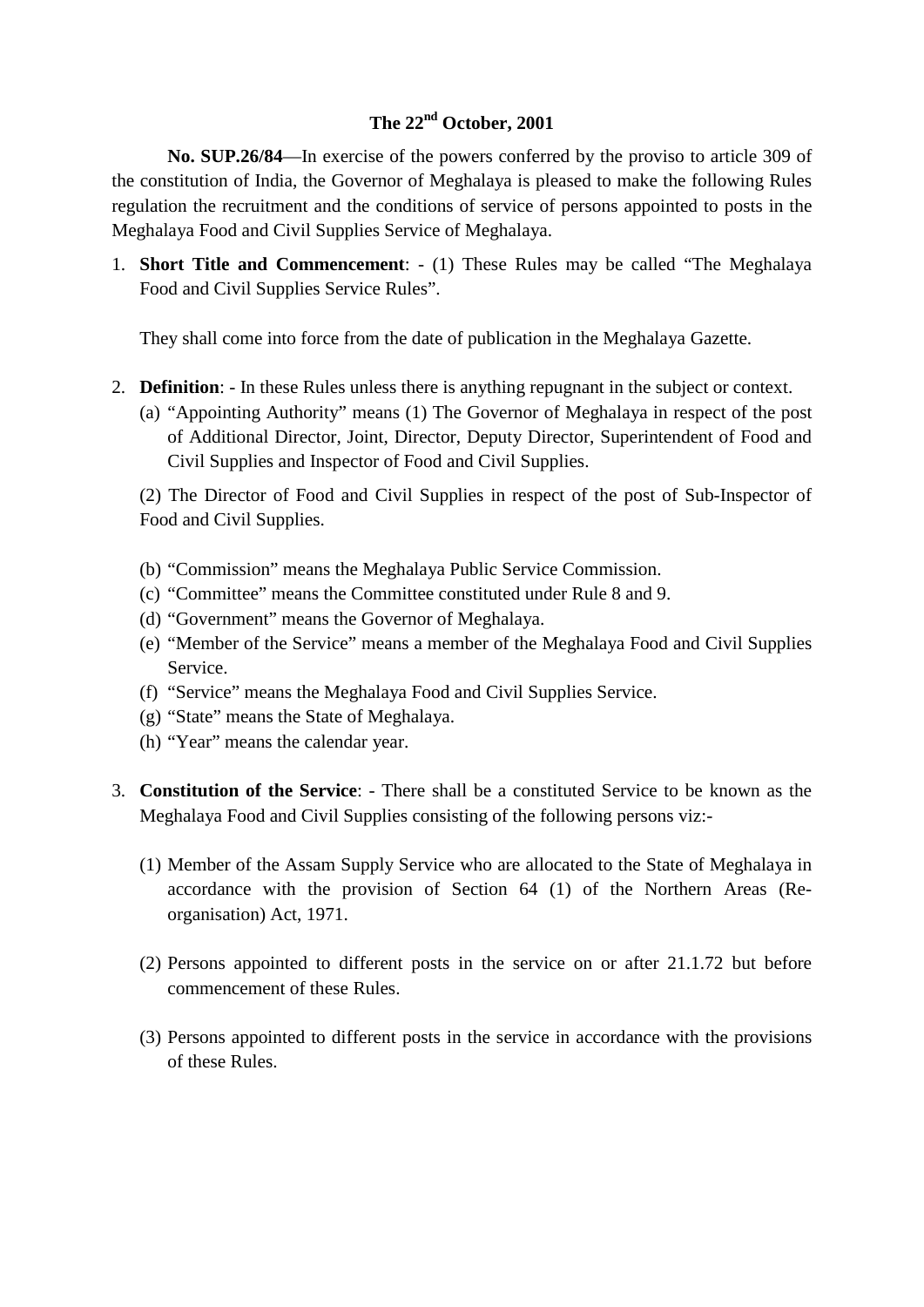#### **The 22nd October, 2001**

**No. SUP.26/84**—In exercise of the powers conferred by the proviso to article 309 of the constitution of India, the Governor of Meghalaya is pleased to make the following Rules regulation the recruitment and the conditions of service of persons appointed to posts in the Meghalaya Food and Civil Supplies Service of Meghalaya.

1. **Short Title and Commencement**: - (1) These Rules may be called "The Meghalaya Food and Civil Supplies Service Rules".

They shall come into force from the date of publication in the Meghalaya Gazette.

- 2. **Definition**: In these Rules unless there is anything repugnant in the subject or context.
	- (a) "Appointing Authority" means (1) The Governor of Meghalaya in respect of the post of Additional Director, Joint, Director, Deputy Director, Superintendent of Food and Civil Supplies and Inspector of Food and Civil Supplies.

(2) The Director of Food and Civil Supplies in respect of the post of Sub-Inspector of Food and Civil Supplies.

- (b) "Commission" means the Meghalaya Public Service Commission.
- (c) "Committee" means the Committee constituted under Rule 8 and 9.
- (d) "Government" means the Governor of Meghalaya.
- (e) "Member of the Service" means a member of the Meghalaya Food and Civil Supplies Service.
- (f) "Service" means the Meghalaya Food and Civil Supplies Service.
- (g) "State" means the State of Meghalaya.
- (h) "Year" means the calendar year.
- 3. **Constitution of the Service**: There shall be a constituted Service to be known as the Meghalaya Food and Civil Supplies consisting of the following persons viz:-
	- (1) Member of the Assam Supply Service who are allocated to the State of Meghalaya in accordance with the provision of Section 64 (1) of the Northern Areas (Reorganisation) Act, 1971.
	- (2) Persons appointed to different posts in the service on or after 21.1.72 but before commencement of these Rules.
	- (3) Persons appointed to different posts in the service in accordance with the provisions of these Rules.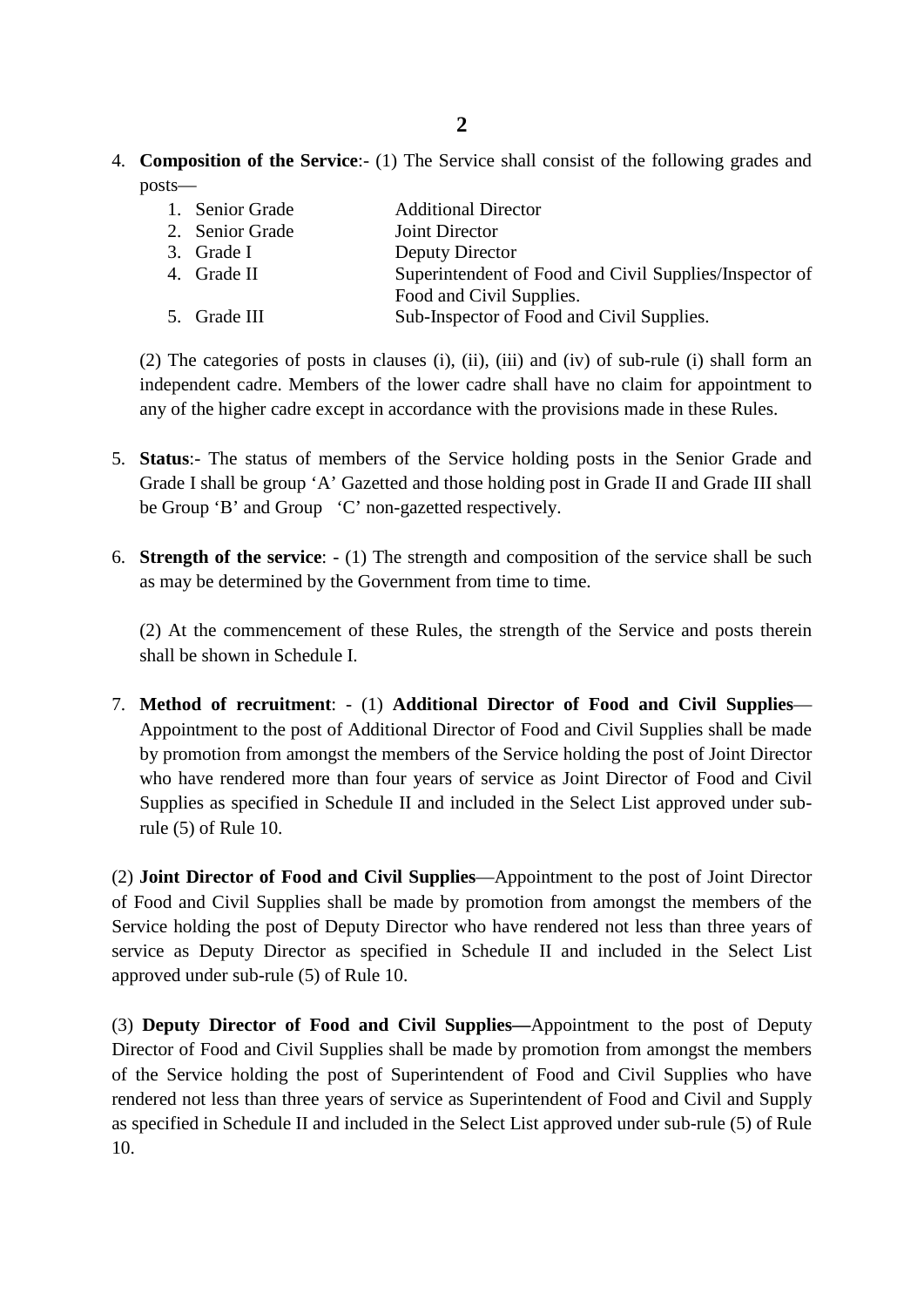4. **Composition of the Service**:- (1) The Service shall consist of the following grades and posts—

| 1. Senior Grade | <b>Additional Director</b>                             |
|-----------------|--------------------------------------------------------|
| 2. Senior Grade | Joint Director                                         |
| 3. Grade I      | Deputy Director                                        |
| 4. Grade II     | Superintendent of Food and Civil Supplies/Inspector of |
|                 | Food and Civil Supplies.                               |
| 5. Grade III    | Sub-Inspector of Food and Civil Supplies.              |

(2) The categories of posts in clauses (i), (ii), (iii) and (iv) of sub-rule (i) shall form an independent cadre. Members of the lower cadre shall have no claim for appointment to any of the higher cadre except in accordance with the provisions made in these Rules.

- 5. **Status**:- The status of members of the Service holding posts in the Senior Grade and Grade I shall be group 'A' Gazetted and those holding post in Grade II and Grade III shall be Group 'B' and Group 'C' non-gazetted respectively.
- 6. **Strength of the service**: (1) The strength and composition of the service shall be such as may be determined by the Government from time to time.

(2) At the commencement of these Rules, the strength of the Service and posts therein shall be shown in Schedule I.

7. **Method of recruitment**: - (1) **Additional Director of Food and Civil Supplies**— Appointment to the post of Additional Director of Food and Civil Supplies shall be made by promotion from amongst the members of the Service holding the post of Joint Director who have rendered more than four years of service as Joint Director of Food and Civil Supplies as specified in Schedule II and included in the Select List approved under subrule (5) of Rule 10.

(2) **Joint Director of Food and Civil Supplies**—Appointment to the post of Joint Director of Food and Civil Supplies shall be made by promotion from amongst the members of the Service holding the post of Deputy Director who have rendered not less than three years of service as Deputy Director as specified in Schedule II and included in the Select List approved under sub-rule (5) of Rule 10.

(3) **Deputy Director of Food and Civil Supplies—**Appointment to the post of Deputy Director of Food and Civil Supplies shall be made by promotion from amongst the members of the Service holding the post of Superintendent of Food and Civil Supplies who have rendered not less than three years of service as Superintendent of Food and Civil and Supply as specified in Schedule II and included in the Select List approved under sub-rule (5) of Rule 10.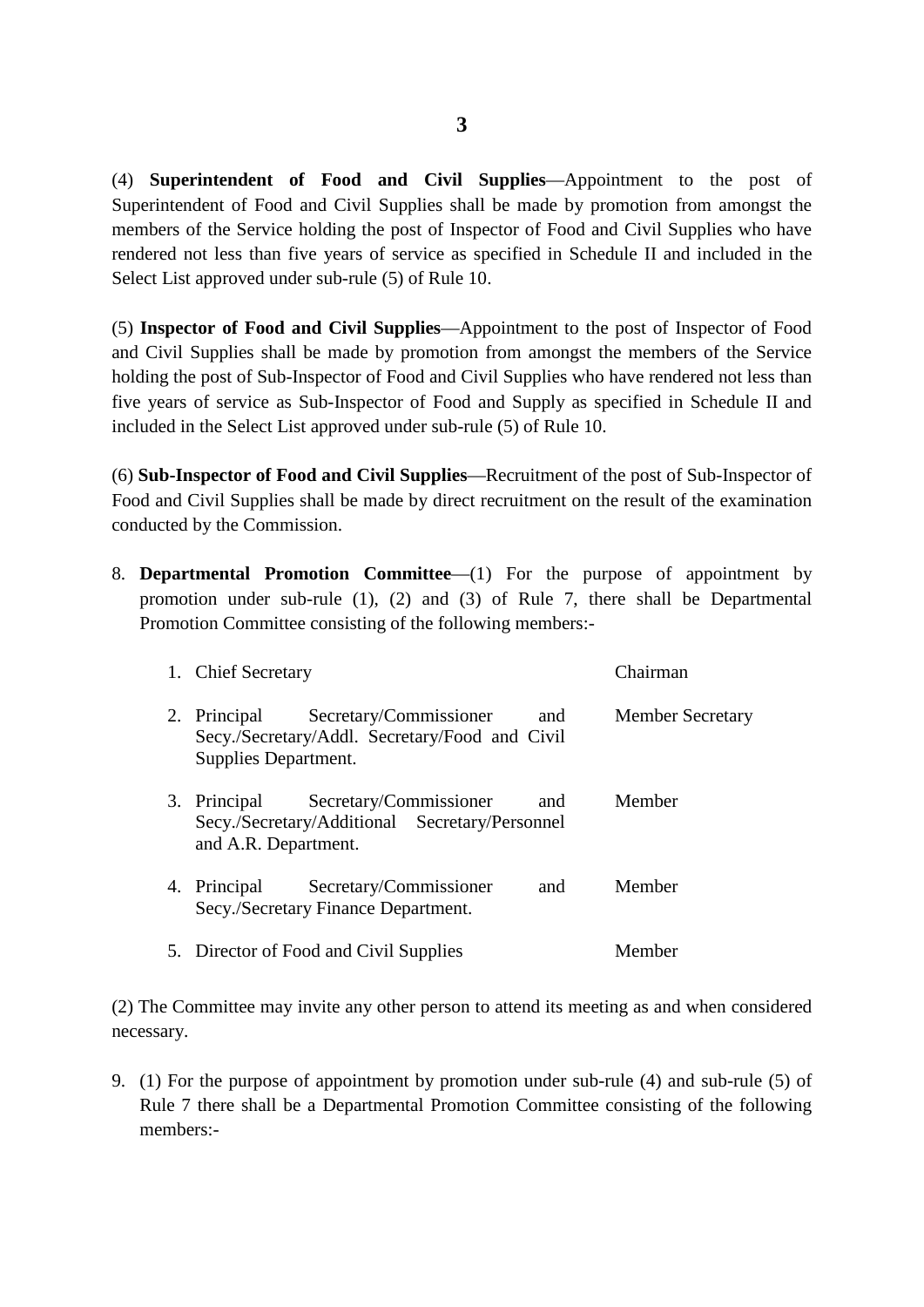(4) **Superintendent of Food and Civil Supplies**—Appointment to the post of Superintendent of Food and Civil Supplies shall be made by promotion from amongst the members of the Service holding the post of Inspector of Food and Civil Supplies who have rendered not less than five years of service as specified in Schedule II and included in the Select List approved under sub-rule (5) of Rule 10.

(5) **Inspector of Food and Civil Supplies**—Appointment to the post of Inspector of Food and Civil Supplies shall be made by promotion from amongst the members of the Service holding the post of Sub-Inspector of Food and Civil Supplies who have rendered not less than five years of service as Sub-Inspector of Food and Supply as specified in Schedule II and included in the Select List approved under sub-rule (5) of Rule 10.

(6) **Sub-Inspector of Food and Civil Supplies**—Recruitment of the post of Sub-Inspector of Food and Civil Supplies shall be made by direct recruitment on the result of the examination conducted by the Commission.

8. **Departmental Promotion Committee**—(1) For the purpose of appointment by promotion under sub-rule (1), (2) and (3) of Rule 7, there shall be Departmental Promotion Committee consisting of the following members:-

| 1. Chief Secretary                   |                                                                          |     | Chairman                |
|--------------------------------------|--------------------------------------------------------------------------|-----|-------------------------|
| 2. Principal<br>Supplies Department. | Secretary/Commissioner<br>Secy./Secretary/Addl. Secretary/Food and Civil | and | <b>Member Secretary</b> |
| 3. Principal<br>and A.R. Department. | Secretary/Commissioner<br>Secy./Secretary/Additional Secretary/Personnel | and | Member                  |
| 4. Principal                         | Secretary/Commissioner<br>Secy./Secretary Finance Department.            | and | Member                  |
|                                      | 5. Director of Food and Civil Supplies                                   |     | Member                  |

(2) The Committee may invite any other person to attend its meeting as and when considered necessary.

9. (1) For the purpose of appointment by promotion under sub-rule (4) and sub-rule (5) of Rule 7 there shall be a Departmental Promotion Committee consisting of the following members:-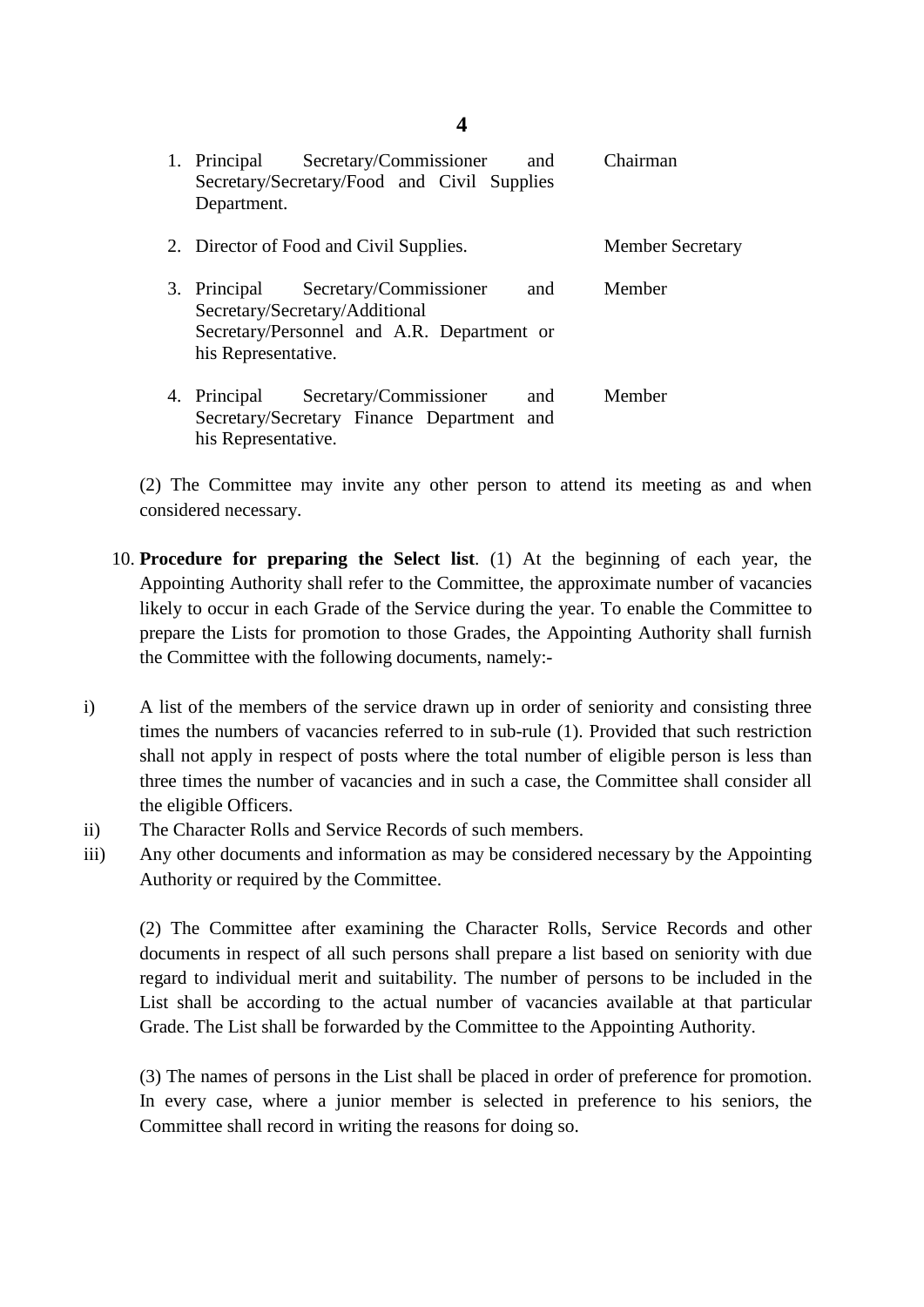| 1. Principal Secretary/Commissioner<br>and<br>Secretary/Secretary/Food and Civil Supplies<br>Department.                                          | Chairman                |
|---------------------------------------------------------------------------------------------------------------------------------------------------|-------------------------|
| 2. Director of Food and Civil Supplies.                                                                                                           | <b>Member Secretary</b> |
| 3. Principal Secretary/Commissioner<br>and<br>Secretary/Secretary/Additional<br>Secretary/Personnel and A.R. Department or<br>his Representative. | Member                  |
| 4. Principal Secretary/Commissioner<br>and<br>Secretary/Secretary Finance Department and<br>his Representative.                                   | Member                  |

(2) The Committee may invite any other person to attend its meeting as and when considered necessary.

- 10. **Procedure for preparing the Select list**. (1) At the beginning of each year, the Appointing Authority shall refer to the Committee, the approximate number of vacancies likely to occur in each Grade of the Service during the year. To enable the Committee to prepare the Lists for promotion to those Grades, the Appointing Authority shall furnish the Committee with the following documents, namely:-
- i) A list of the members of the service drawn up in order of seniority and consisting three times the numbers of vacancies referred to in sub-rule (1). Provided that such restriction shall not apply in respect of posts where the total number of eligible person is less than three times the number of vacancies and in such a case, the Committee shall consider all the eligible Officers.
- ii) The Character Rolls and Service Records of such members.
- iii) Any other documents and information as may be considered necessary by the Appointing Authority or required by the Committee.

(2) The Committee after examining the Character Rolls, Service Records and other documents in respect of all such persons shall prepare a list based on seniority with due regard to individual merit and suitability. The number of persons to be included in the List shall be according to the actual number of vacancies available at that particular Grade. The List shall be forwarded by the Committee to the Appointing Authority.

(3) The names of persons in the List shall be placed in order of preference for promotion. In every case, where a junior member is selected in preference to his seniors, the Committee shall record in writing the reasons for doing so.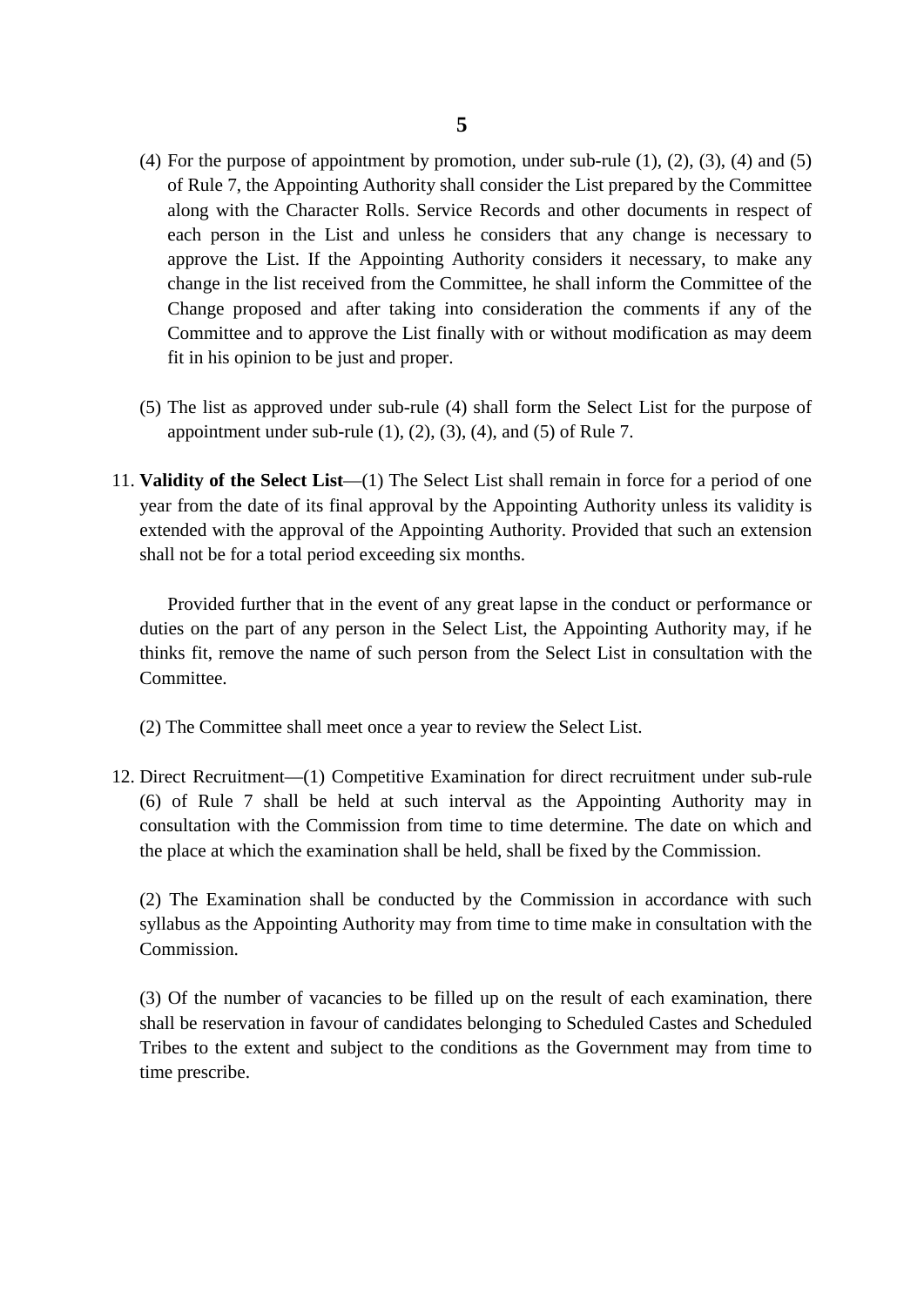- (4) For the purpose of appointment by promotion, under sub-rule  $(1)$ ,  $(2)$ ,  $(3)$ ,  $(4)$  and  $(5)$ of Rule 7, the Appointing Authority shall consider the List prepared by the Committee along with the Character Rolls. Service Records and other documents in respect of each person in the List and unless he considers that any change is necessary to approve the List. If the Appointing Authority considers it necessary, to make any change in the list received from the Committee, he shall inform the Committee of the Change proposed and after taking into consideration the comments if any of the Committee and to approve the List finally with or without modification as may deem fit in his opinion to be just and proper.
- (5) The list as approved under sub-rule (4) shall form the Select List for the purpose of appointment under sub-rule  $(1)$ ,  $(2)$ ,  $(3)$ ,  $(4)$ , and  $(5)$  of Rule 7.
- 11. **Validity of the Select List**—(1) The Select List shall remain in force for a period of one year from the date of its final approval by the Appointing Authority unless its validity is extended with the approval of the Appointing Authority. Provided that such an extension shall not be for a total period exceeding six months.

Provided further that in the event of any great lapse in the conduct or performance or duties on the part of any person in the Select List, the Appointing Authority may, if he thinks fit, remove the name of such person from the Select List in consultation with the Committee.

- (2) The Committee shall meet once a year to review the Select List.
- 12. Direct Recruitment—(1) Competitive Examination for direct recruitment under sub-rule (6) of Rule 7 shall be held at such interval as the Appointing Authority may in consultation with the Commission from time to time determine. The date on which and the place at which the examination shall be held, shall be fixed by the Commission.

(2) The Examination shall be conducted by the Commission in accordance with such syllabus as the Appointing Authority may from time to time make in consultation with the Commission.

(3) Of the number of vacancies to be filled up on the result of each examination, there shall be reservation in favour of candidates belonging to Scheduled Castes and Scheduled Tribes to the extent and subject to the conditions as the Government may from time to time prescribe.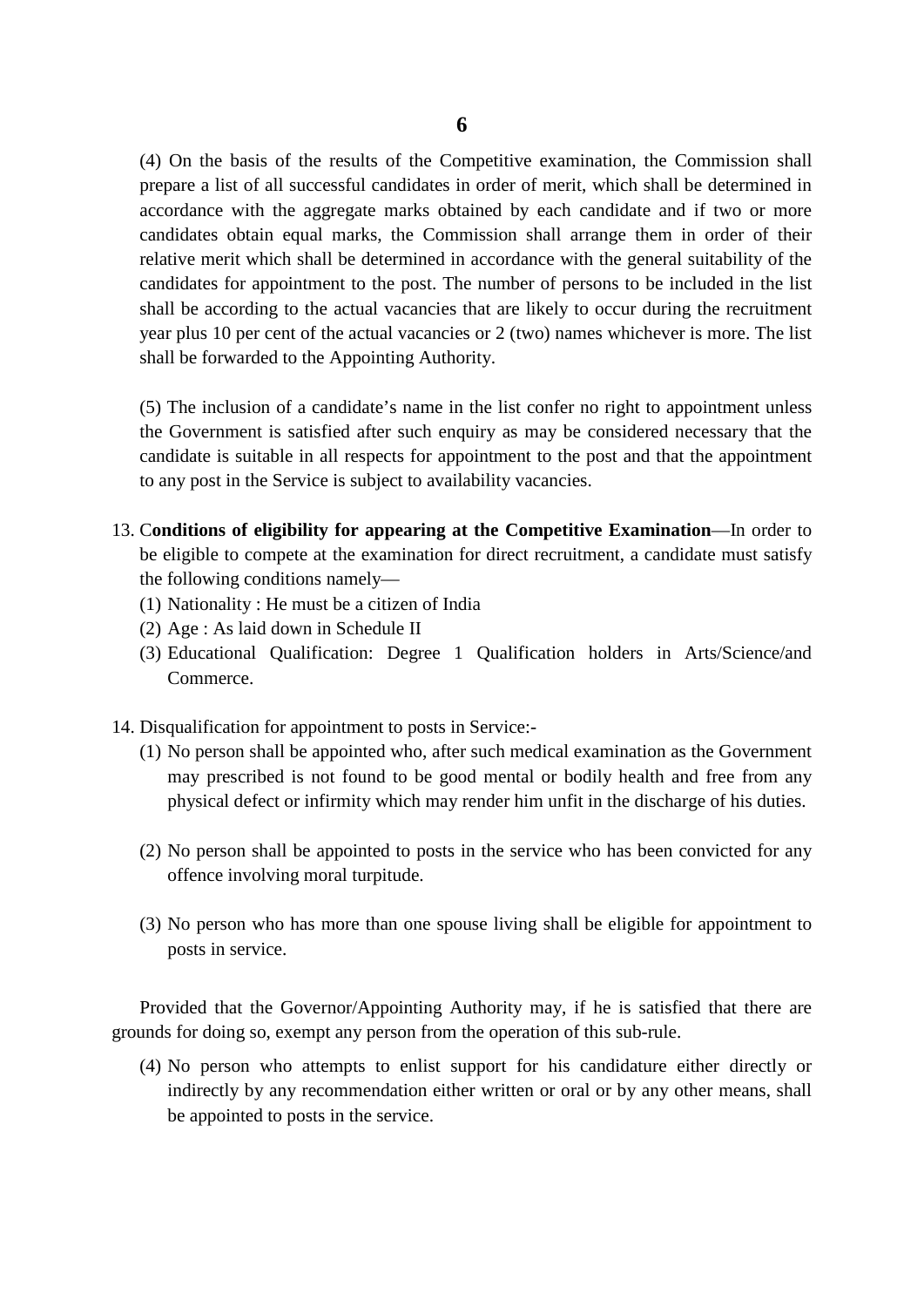(4) On the basis of the results of the Competitive examination, the Commission shall prepare a list of all successful candidates in order of merit, which shall be determined in accordance with the aggregate marks obtained by each candidate and if two or more candidates obtain equal marks, the Commission shall arrange them in order of their relative merit which shall be determined in accordance with the general suitability of the candidates for appointment to the post. The number of persons to be included in the list shall be according to the actual vacancies that are likely to occur during the recruitment year plus 10 per cent of the actual vacancies or 2 (two) names whichever is more. The list shall be forwarded to the Appointing Authority.

(5) The inclusion of a candidate's name in the list confer no right to appointment unless the Government is satisfied after such enquiry as may be considered necessary that the candidate is suitable in all respects for appointment to the post and that the appointment to any post in the Service is subject to availability vacancies.

- 13. C**onditions of eligibility for appearing at the Competitive Examination**—In order to be eligible to compete at the examination for direct recruitment, a candidate must satisfy the following conditions namely—
	- (1) Nationality : He must be a citizen of India
	- (2) Age : As laid down in Schedule II
	- (3) Educational Qualification: Degree 1 Qualification holders in Arts/Science/and Commerce.
- 14. Disqualification for appointment to posts in Service:-
	- (1) No person shall be appointed who, after such medical examination as the Government may prescribed is not found to be good mental or bodily health and free from any physical defect or infirmity which may render him unfit in the discharge of his duties.
	- (2) No person shall be appointed to posts in the service who has been convicted for any offence involving moral turpitude.
	- (3) No person who has more than one spouse living shall be eligible for appointment to posts in service.

Provided that the Governor/Appointing Authority may, if he is satisfied that there are grounds for doing so, exempt any person from the operation of this sub-rule.

(4) No person who attempts to enlist support for his candidature either directly or indirectly by any recommendation either written or oral or by any other means, shall be appointed to posts in the service.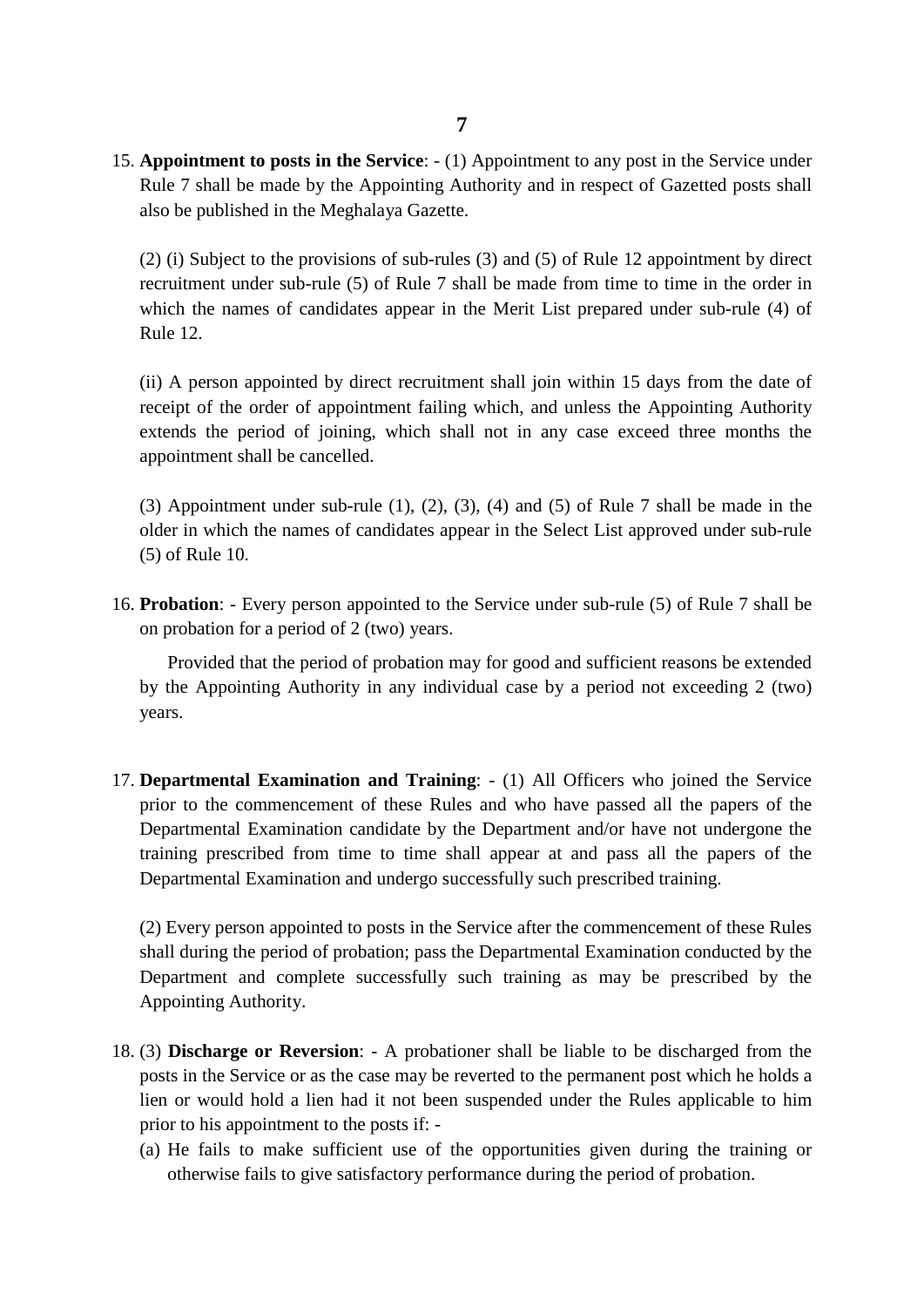15. **Appointment to posts in the Service**: - (1) Appointment to any post in the Service under Rule 7 shall be made by the Appointing Authority and in respect of Gazetted posts shall also be published in the Meghalaya Gazette.

(2) (i) Subject to the provisions of sub-rules (3) and (5) of Rule 12 appointment by direct recruitment under sub-rule (5) of Rule 7 shall be made from time to time in the order in which the names of candidates appear in the Merit List prepared under sub-rule (4) of Rule 12.

(ii) A person appointed by direct recruitment shall join within 15 days from the date of receipt of the order of appointment failing which, and unless the Appointing Authority extends the period of joining, which shall not in any case exceed three months the appointment shall be cancelled.

(3) Appointment under sub-rule (1), (2), (3), (4) and (5) of Rule 7 shall be made in the older in which the names of candidates appear in the Select List approved under sub-rule (5) of Rule 10.

16. **Probation**: - Every person appointed to the Service under sub-rule (5) of Rule 7 shall be on probation for a period of 2 (two) years.

Provided that the period of probation may for good and sufficient reasons be extended by the Appointing Authority in any individual case by a period not exceeding 2 (two) years.

17. **Departmental Examination and Training**: - (1) All Officers who joined the Service prior to the commencement of these Rules and who have passed all the papers of the Departmental Examination candidate by the Department and/or have not undergone the training prescribed from time to time shall appear at and pass all the papers of the Departmental Examination and undergo successfully such prescribed training.

(2) Every person appointed to posts in the Service after the commencement of these Rules shall during the period of probation; pass the Departmental Examination conducted by the Department and complete successfully such training as may be prescribed by the Appointing Authority.

- 18. (3) **Discharge or Reversion**: A probationer shall be liable to be discharged from the posts in the Service or as the case may be reverted to the permanent post which he holds a lien or would hold a lien had it not been suspended under the Rules applicable to him prior to his appointment to the posts if: -
	- (a) He fails to make sufficient use of the opportunities given during the training or otherwise fails to give satisfactory performance during the period of probation.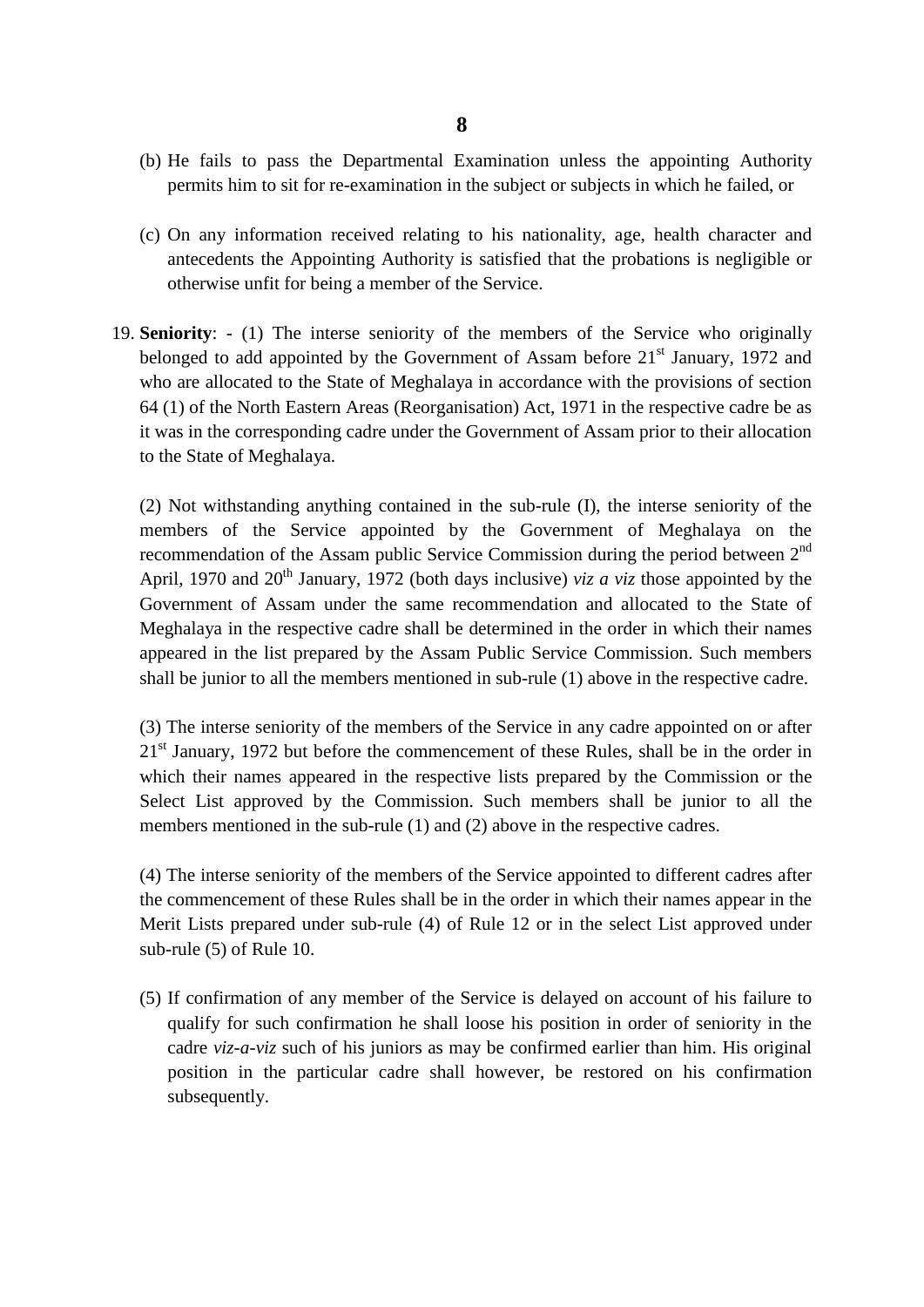- (b) He fails to pass the Departmental Examination unless the appointing Authority permits him to sit for re-examination in the subject or subjects in which he failed, or
- (c) On any information received relating to his nationality, age, health character and antecedents the Appointing Authority is satisfied that the probations is negligible or otherwise unfit for being a member of the Service.
- 19. **Seniority**: (1) The interse seniority of the members of the Service who originally belonged to add appointed by the Government of Assam before  $21<sup>st</sup>$  January, 1972 and who are allocated to the State of Meghalaya in accordance with the provisions of section 64 (1) of the North Eastern Areas (Reorganisation) Act, 1971 in the respective cadre be as it was in the corresponding cadre under the Government of Assam prior to their allocation to the State of Meghalaya.

(2) Not withstanding anything contained in the sub-rule (I), the interse seniority of the members of the Service appointed by the Government of Meghalaya on the recommendation of the Assam public Service Commission during the period between 2nd April, 1970 and 20<sup>th</sup> January, 1972 (both days inclusive) *viz a viz* those appointed by the Government of Assam under the same recommendation and allocated to the State of Meghalaya in the respective cadre shall be determined in the order in which their names appeared in the list prepared by the Assam Public Service Commission. Such members shall be junior to all the members mentioned in sub-rule (1) above in the respective cadre.

(3) The interse seniority of the members of the Service in any cadre appointed on or after  $21<sup>st</sup>$  January, 1972 but before the commencement of these Rules, shall be in the order in which their names appeared in the respective lists prepared by the Commission or the Select List approved by the Commission. Such members shall be junior to all the members mentioned in the sub-rule (1) and (2) above in the respective cadres.

(4) The interse seniority of the members of the Service appointed to different cadres after the commencement of these Rules shall be in the order in which their names appear in the Merit Lists prepared under sub-rule (4) of Rule 12 or in the select List approved under sub-rule (5) of Rule 10.

(5) If confirmation of any member of the Service is delayed on account of his failure to qualify for such confirmation he shall loose his position in order of seniority in the cadre *viz-a-viz* such of his juniors as may be confirmed earlier than him. His original position in the particular cadre shall however, be restored on his confirmation subsequently.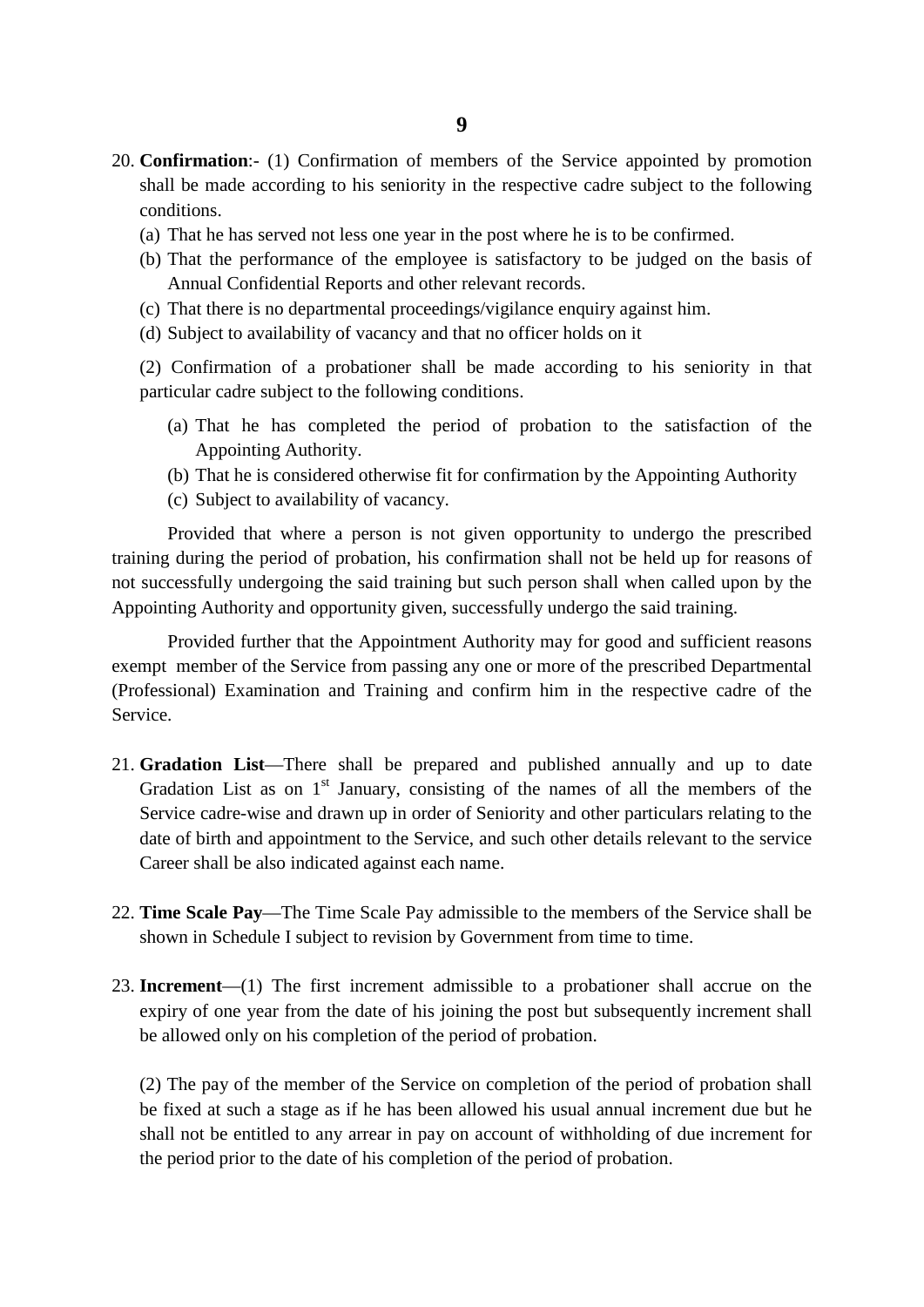- 20. **Confirmation**:- (1) Confirmation of members of the Service appointed by promotion shall be made according to his seniority in the respective cadre subject to the following conditions.
	- (a) That he has served not less one year in the post where he is to be confirmed.
	- (b) That the performance of the employee is satisfactory to be judged on the basis of Annual Confidential Reports and other relevant records.
	- (c) That there is no departmental proceedings/vigilance enquiry against him.
	- (d) Subject to availability of vacancy and that no officer holds on it

(2) Confirmation of a probationer shall be made according to his seniority in that particular cadre subject to the following conditions.

- (a) That he has completed the period of probation to the satisfaction of the Appointing Authority.
- (b) That he is considered otherwise fit for confirmation by the Appointing Authority
- (c) Subject to availability of vacancy.

Provided that where a person is not given opportunity to undergo the prescribed training during the period of probation, his confirmation shall not be held up for reasons of not successfully undergoing the said training but such person shall when called upon by the Appointing Authority and opportunity given, successfully undergo the said training.

Provided further that the Appointment Authority may for good and sufficient reasons exempt member of the Service from passing any one or more of the prescribed Departmental (Professional) Examination and Training and confirm him in the respective cadre of the Service.

- 21. **Gradation List**—There shall be prepared and published annually and up to date Gradation List as on  $1<sup>st</sup>$  January, consisting of the names of all the members of the Service cadre-wise and drawn up in order of Seniority and other particulars relating to the date of birth and appointment to the Service, and such other details relevant to the service Career shall be also indicated against each name.
- 22. **Time Scale Pay**—The Time Scale Pay admissible to the members of the Service shall be shown in Schedule I subject to revision by Government from time to time.
- 23. **Increment**—(1) The first increment admissible to a probationer shall accrue on the expiry of one year from the date of his joining the post but subsequently increment shall be allowed only on his completion of the period of probation.

(2) The pay of the member of the Service on completion of the period of probation shall be fixed at such a stage as if he has been allowed his usual annual increment due but he shall not be entitled to any arrear in pay on account of withholding of due increment for the period prior to the date of his completion of the period of probation.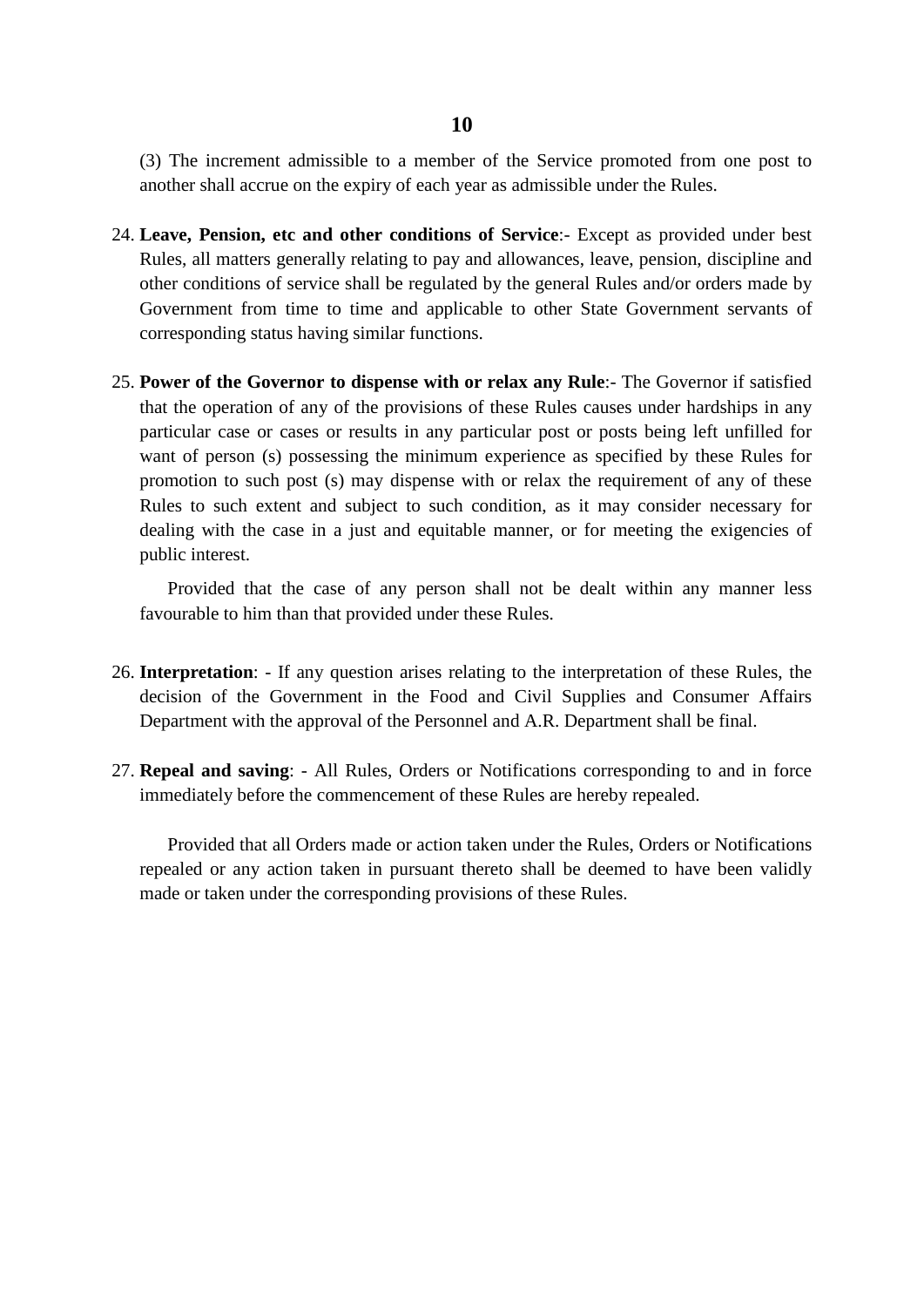(3) The increment admissible to a member of the Service promoted from one post to another shall accrue on the expiry of each year as admissible under the Rules.

- 24. **Leave, Pension, etc and other conditions of Service**:- Except as provided under best Rules, all matters generally relating to pay and allowances, leave, pension, discipline and other conditions of service shall be regulated by the general Rules and/or orders made by Government from time to time and applicable to other State Government servants of corresponding status having similar functions.
- 25. **Power of the Governor to dispense with or relax any Rule**:- The Governor if satisfied that the operation of any of the provisions of these Rules causes under hardships in any particular case or cases or results in any particular post or posts being left unfilled for want of person (s) possessing the minimum experience as specified by these Rules for promotion to such post (s) may dispense with or relax the requirement of any of these Rules to such extent and subject to such condition, as it may consider necessary for dealing with the case in a just and equitable manner, or for meeting the exigencies of public interest.

Provided that the case of any person shall not be dealt within any manner less favourable to him than that provided under these Rules.

- 26. **Interpretation**: If any question arises relating to the interpretation of these Rules, the decision of the Government in the Food and Civil Supplies and Consumer Affairs Department with the approval of the Personnel and A.R. Department shall be final.
- 27. **Repeal and saving**: All Rules, Orders or Notifications corresponding to and in force immediately before the commencement of these Rules are hereby repealed.

Provided that all Orders made or action taken under the Rules, Orders or Notifications repealed or any action taken in pursuant thereto shall be deemed to have been validly made or taken under the corresponding provisions of these Rules.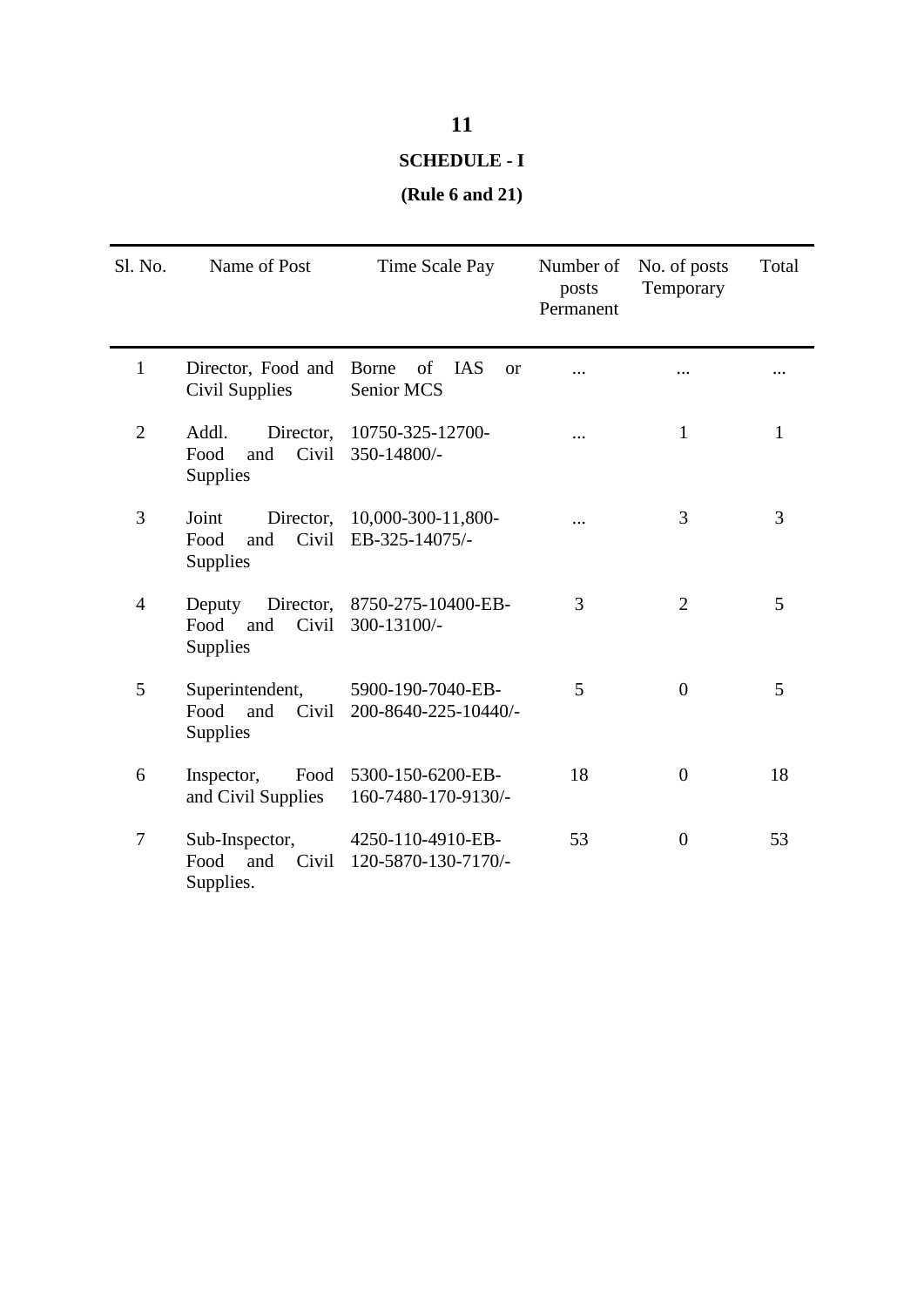## **11**

#### **SCHEDULE - I**

#### **(Rule 6 and 21)**

| Sl. No.        | Name of Post                                                  | Time Scale Pay                                       | Number of<br>posts<br>Permanent | No. of posts<br>Temporary | Total |
|----------------|---------------------------------------------------------------|------------------------------------------------------|---------------------------------|---------------------------|-------|
| $\mathbf{1}$   | Director, Food and<br><b>Civil Supplies</b>                   | Borne<br>of<br><b>IAS</b><br><b>or</b><br>Senior MCS |                                 |                           |       |
| $\overline{2}$ | Addl.<br>Director,<br>Civil<br>Food<br>and<br>Supplies        | 10750-325-12700-<br>350-14800/-                      |                                 | $\mathbf{1}$              | 1     |
| 3              | Joint<br>Director,<br>Civil<br>Food<br>and<br><b>Supplies</b> | 10,000-300-11,800-<br>EB-325-14075/-                 |                                 | 3                         | 3     |
| 4              | Director,<br>Deputy<br>Civil<br>Food<br>and<br>Supplies       | 8750-275-10400-EB-<br>300-13100/-                    | 3                               | $\overline{2}$            | 5     |
| 5              | Superintendent,<br>Food<br>Civil<br>and<br>Supplies           | 5900-190-7040-EB-<br>200-8640-225-10440/-            | 5                               | $\theta$                  | 5     |
| 6              | Food<br>Inspector,<br>and Civil Supplies                      | 5300-150-6200-EB-<br>160-7480-170-9130/-             | 18                              | $\overline{0}$            | 18    |
| 7              | Sub-Inspector,<br>Food<br>Civil<br>and<br>Supplies.           | 4250-110-4910-EB-<br>120-5870-130-7170/-             | 53                              | $\overline{0}$            | 53    |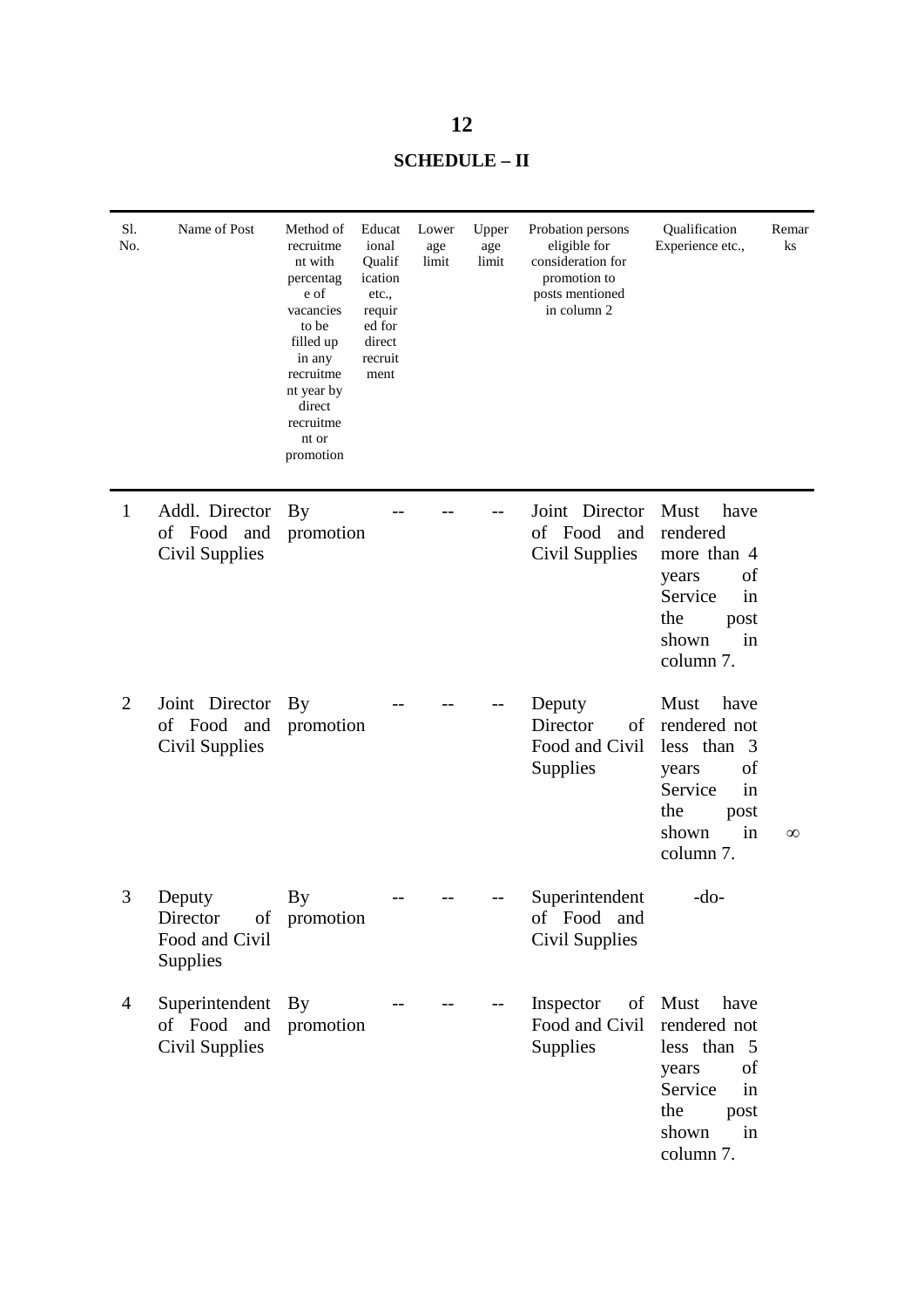| <b>SCHEDULE – II</b> |  |
|----------------------|--|
|----------------------|--|

| Sl.<br>No.     | Name of Post                                           | Method of<br>recruitme<br>nt with<br>percentag<br>e of<br>vacancies<br>to be<br>filled up<br>in any<br>recruitme<br>nt year by<br>direct<br>recruitme<br>nt or<br>promotion | Educat<br>ional<br>Qualif<br>ication<br>etc.,<br>requir<br>ed for<br>direct<br>recruit<br>ment | Lower<br>age<br>limit | Upper<br>age<br>limit | Probation persons<br>eligible for<br>consideration for<br>promotion to<br>posts mentioned<br>in column 2 | Qualification<br>Experience etc.,                                                                                      | Remar<br>ks |
|----------------|--------------------------------------------------------|-----------------------------------------------------------------------------------------------------------------------------------------------------------------------------|------------------------------------------------------------------------------------------------|-----------------------|-----------------------|----------------------------------------------------------------------------------------------------------|------------------------------------------------------------------------------------------------------------------------|-------------|
| $\mathbf{1}$   | Addl. Director<br>of Food and<br>Civil Supplies        | <b>By</b><br>promotion                                                                                                                                                      |                                                                                                |                       |                       | Joint Director<br>of Food and<br>Civil Supplies                                                          | Must<br>have<br>rendered<br>more than 4<br>of<br>years<br>Service<br>in<br>the<br>post<br>in<br>shown<br>column 7.     |             |
| $\overline{2}$ | Joint Director<br>of Food and<br>Civil Supplies        | By<br>promotion                                                                                                                                                             |                                                                                                |                       |                       | Deputy<br>Director<br>of<br>Food and Civil<br>Supplies                                                   | Must<br>have<br>rendered not<br>less than 3<br>of<br>years<br>Service<br>in<br>the<br>post<br>shown<br>in<br>column 7. | $\infty$    |
| 3              | Deputy<br>Director<br>of<br>Food and Civil<br>Supplies | By<br>promotion                                                                                                                                                             |                                                                                                |                       |                       | Superintendent<br>of Food and<br>Civil Supplies                                                          | $-do-$                                                                                                                 |             |
| 4              | Superintendent<br>of Food and<br><b>Civil Supplies</b> | <b>By</b><br>promotion                                                                                                                                                      |                                                                                                |                       |                       | Inspector<br>of<br>Food and Civil<br>Supplies                                                            | Must<br>have<br>rendered not<br>less than 5<br>of<br>years<br>Service<br>in<br>the<br>post<br>shown<br>in<br>column 7. |             |